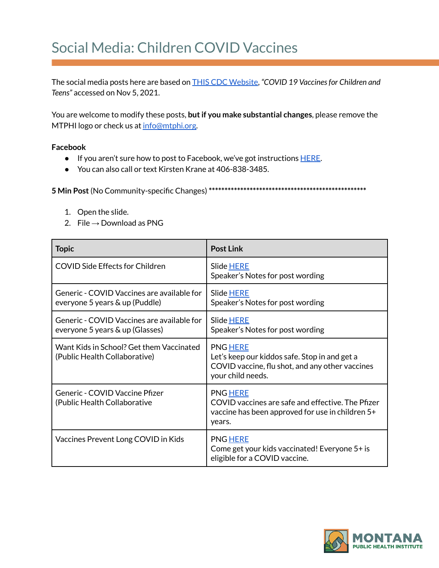## Social Media: Children COVID Vaccines

The social media posts here are based on THIS CDC [Website](https://www.cdc.gov/coronavirus/2019-ncov/vaccines/recommendations/children-teens.html?CDC_AA_refVal=https%3A%2F%2Fwww.cdc.gov%2Fcoronavirus%2F2019-ncov%2Fvaccines%2Frecommendations%2Fadolescents.html), *"COVID 19 Vaccinesfor Children and Teens"* accessed on Nov 5, 2021.

You are welcome to modify these posts, **butif you make substantial changes**, please remove the MTPHI logo or check us at [info@mtphi.org.](mailto:info@mtphi.org)

## **Facebook**

- If you aren't sure how to post to Facebook, we've got instructions [HERE](https://docs.google.com/document/d/1lPT5OlsdAcd5UzGaS0B-kcM4cndZhiOHd2b7c3r7f5Q/edit?usp=sharing).
- You can also call or text Kirsten Krane at 406-838-3485.

**5 Min Post**(No Community-specific Changes) **\*\*\*\*\*\*\*\*\*\*\*\*\*\*\*\*\*\*\*\*\*\*\*\*\*\*\*\*\*\*\*\*\*\*\*\*\*\*\*\*\*\*\*\*\*\*\*\*\*\***

- 1. Open the slide.
- 2. File  $\rightarrow$  Download as PNG

| <b>Topic</b>                                                                  | <b>Post Link</b>                                                                                                                         |
|-------------------------------------------------------------------------------|------------------------------------------------------------------------------------------------------------------------------------------|
| <b>COVID Side Effects for Children</b>                                        | Slide HERE<br>Speaker's Notes for post wording                                                                                           |
| Generic - COVID Vaccines are available for<br>everyone 5 years & up (Puddle)  | <b>Slide HERE</b><br>Speaker's Notes for post wording                                                                                    |
| Generic - COVID Vaccines are available for<br>everyone 5 years & up (Glasses) | Slide HERE<br>Speaker's Notes for post wording                                                                                           |
| Want Kids in School? Get them Vaccinated<br>(Public Health Collaborative)     | <b>PNG HERE</b><br>Let's keep our kiddos safe. Stop in and get a<br>COVID vaccine, flu shot, and any other vaccines<br>your child needs. |
| Generic - COVID Vaccine Pfizer<br>(Public Health Collaborative                | <b>PNG HERE</b><br>COVID vaccines are safe and effective. The Pfizer<br>vaccine has been approved for use in children 5+<br>years.       |
| Vaccines Prevent Long COVID in Kids                                           | <b>PNG HERE</b><br>Come get your kids vaccinated! Everyone 5+ is<br>eligible for a COVID vaccine.                                        |